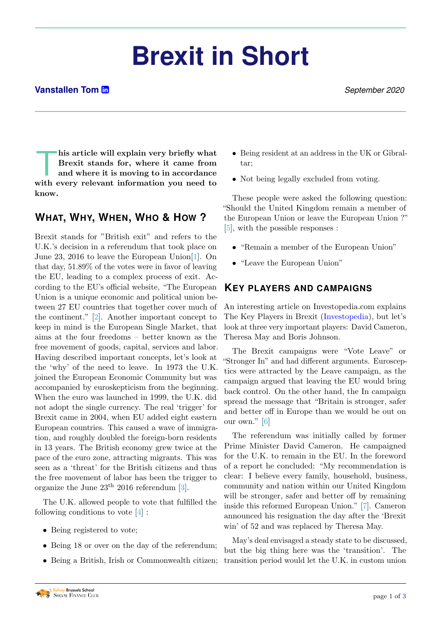# **Brexit in Short**

#### **Vanstallen Tom <sup>n</sup>**

his article will explain very briefly what<br>Brexit stands for, where it came from<br>and where it is moving to in accordance<br>with every relevant information you need to his article will explain very briefly what Brexit stands for, where it came from and where it is moving to in accordance know.

### **WHAT, WHY, WHEN, WHO & HOW ?**

Brexit stands for "British exit" and refers to the U.K.'s decision in a referendum that took place on June 23, 2016 to leave the European Union[\[1\]](#page-2-0). On that day, 51.89% of the votes were in favor of leaving the EU, leading to a complex process of exit. According to the EU's official website, "The European Union is a unique economic and political union between 27 EU countries that together cover much of the continent." [\[2\]](#page-2-1). Another important concept to keep in mind is the European Single Market, that aims at the four freedoms – better known as the free movement of goods, capital, services and labor. Having described important concepts, let's look at the 'why' of the need to leave. In 1973 the U.K. joined the European Economic Community but was accompanied by euroskepticism from the beginning. When the euro was launched in 1999, the U.K. did not adopt the single currency. The real 'trigger' for Brexit came in 2004, when EU added eight eastern European countries. This caused a wave of immigration, and roughly doubled the foreign-born residents in 13 years. The British economy grew twice at the pace of the euro zone, attracting migrants. This was seen as a 'threat' for the British citizens and thus the free movement of labor has been the trigger to organize the June  $23<sup>th</sup>$  2016 referendum [\[3\]](#page-2-2).

The U.K. allowed people to vote that fulfilled the following conditions to vote [\[4\]](#page-2-3) :

- Being registered to vote;
- Being 18 or over on the day of the referendum;
- Being a British, Irish or Commonwealth citizen;
- Being resident at an address in the UK or Gibraltar;
- Not being legally excluded from voting.

These people were asked the following question: "Should the United Kingdom remain a member of the European Union or leave the European Union ?" [\[5\]](#page-2-4), with the possible responses :

- "Remain a member of the European Union"
- "Leave the European Union"

#### **KEY PLAYERS AND CAMPAIGNS**

An interesting article on Investopedia.com explains The Key Players in Brexit [\(Investopedia\)](https://www.investopedia.com/key-players-of-brexit-4584676), but let's look at three very important players: David Cameron, Theresa May and Boris Johnson.

The Brexit campaigns were "Vote Leave" or "Stronger In" and had different arguments. Eurosceptics were attracted by the Leave campaign, as the campaign argued that leaving the EU would bring back control. On the other hand, the In campaign spread the message that "Britain is stronger, safer and better off in Europe than we would be out on our own." [\[6\]](#page-2-5)

The referendum was initially called by former Prime Minister David Cameron. He campaigned for the U.K. to remain in the EU. In the foreword of a report he concluded: "My recommendation is clear: I believe every family, household, business, community and nation within our United Kingdom will be stronger, safer and better off by remaining inside this reformed European Union." [\[7\]](#page-2-6). Cameron announced his resignation the day after the 'Brexit win' of 52 and was replaced by Theresa May.

May's deal envisaged a steady state to be discussed, but the big thing here was the 'transition'. The transition period would let the U.K. in custom union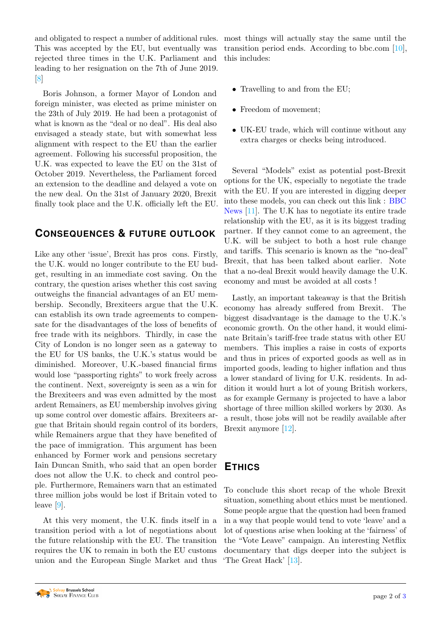and obligated to respect a number of additional rules. most things will actually stay the same until the This was accepted by the EU, but eventually was rejected three times in the U.K. Parliament and leading to her resignation on the 7th of June 2019.  $\lvert 8 \rvert$ 

Boris Johnson, a former Mayor of London and foreign minister, was elected as prime minister on the 23th of July 2019. He had been a protagonist of what is known as the "deal or no deal". His deal also envisaged a steady state, but with somewhat less alignment with respect to the EU than the earlier agreement. Following his successful proposition, the U.K. was expected to leave the EU on the 31st of October 2019. Nevertheless, the Parliament forced an extension to the deadline and delayed a vote on the new deal. On the 31st of January 2020, Brexit finally took place and the U.K. officially left the EU.

### **CONSEQUENCES & FUTURE OUTLOOK**

Like any other 'issue', Brexit has pros cons. Firstly, the U.K. would no longer contribute to the EU budget, resulting in an immediate cost saving. On the contrary, the question arises whether this cost saving outweighs the financial advantages of an EU membership. Secondly, Brexiteers argue that the U.K. can establish its own trade agreements to compensate for the disadvantages of the loss of benefits of free trade with its neighbors. Thirdly, in case the City of London is no longer seen as a gateway to the EU for US banks, the U.K.'s status would be diminished. Moreover, U.K.-based financial firms would lose "passporting rights" to work freely across the continent. Next, sovereignty is seen as a win for the Brexiteers and was even admitted by the most ardent Remainers, as EU membership involves giving up some control over domestic affairs. Brexiteers argue that Britain should regain control of its borders, while Remainers argue that they have benefited of the pace of immigration. This argument has been enhanced by Former work and pensions secretary Iain Duncan Smith, who said that an open border does not allow the U.K. to check and control people. Furthermore, Remainers warn that an estimated three million jobs would be lost if Britain voted to leave [\[9\]](#page-2-9).

At this very moment, the U.K. finds itself in a transition period with a lot of negotiations about the future relationship with the EU. The transition requires the UK to remain in both the EU customs union and the European Single Market and thus transition period ends. According to bbc.com [\[10\]](#page-2-10), this includes:

- Travelling to and from the EU:
- Freedom of movement;
- UK-EU trade, which will continue without any extra charges or checks being introduced.

Several "Models" exist as potential post-Brexit options for the UK, especially to negotiate the trade with the EU. If you are interested in digging deeper into these models, you can check out this link : [BBC](https://www.bbc.com/news/uk-politics-eu-referendum-36639261) [News](https://www.bbc.com/news/uk-politics-eu-referendum-36639261) [\[11\]](#page-2-11). The U.K has to negotiate its entire trade relationship with the EU, as it is its biggest trading partner. If they cannot come to an agreement, the U.K. will be subject to both a host rule change and tariffs. This scenario is known as the "no-deal" Brexit, that has been talked about earlier. Note that a no-deal Brexit would heavily damage the U.K. economy and must be avoided at all costs !

Lastly, an important takeaway is that the British economy has already suffered from Brexit. The biggest disadvantage is the damage to the U.K.'s economic growth. On the other hand, it would eliminate Britain's tariff-free trade status with other EU members. This implies a raise in costs of exports and thus in prices of exported goods as well as in imported goods, leading to higher inflation and thus a lower standard of living for U.K. residents. In addition it would hurt a lot of young British workers, as for example Germany is projected to have a labor shortage of three million skilled workers by 2030. As a result, those jobs will not be readily available after Brexit anymore [\[12\]](#page-2-12).

### **ETHICS**

To conclude this short recap of the whole Brexit situation, something about ethics must be mentioned. Some people argue that the question had been framed in a way that people would tend to vote 'leave' and a lot of questions arise when looking at the 'fairness' of the "Vote Leave" campaign. An interesting Netflix documentary that digs deeper into the subject is 'The Great Hack' [\[13\]](#page-2-13).